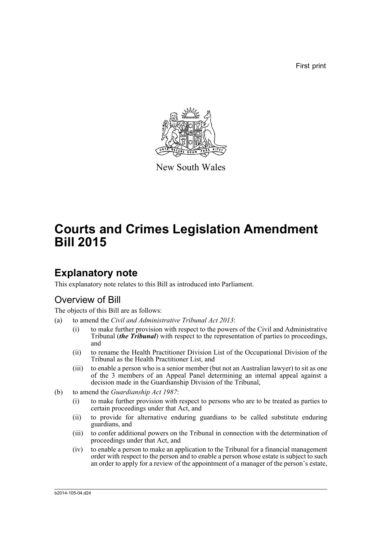First print



New South Wales

# **Courts and Crimes Legislation Amendment Bill 2015**

## **Explanatory note**

This explanatory note relates to this Bill as introduced into Parliament.

## Overview of Bill

The objects of this Bill are as follows:

- (a) to amend the *Civil and Administrative Tribunal Act 2013*:
	- (i) to make further provision with respect to the powers of the Civil and Administrative Tribunal (*the Tribunal*) with respect to the representation of parties to proceedings, and
	- (ii) to rename the Health Practitioner Division List of the Occupational Division of the Tribunal as the Health Practitioner List, and
	- (iii) to enable a person who is a senior member (but not an Australian lawyer) to sit as one of the 3 members of an Appeal Panel determining an internal appeal against a decision made in the Guardianship Division of the Tribunal,
- (b) to amend the *Guardianship Act 1987*:
	- (i) to make further provision with respect to persons who are to be treated as parties to certain proceedings under that Act, and
	- (ii) to provide for alternative enduring guardians to be called substitute enduring guardians, and
	- (iii) to confer additional powers on the Tribunal in connection with the determination of proceedings under that Act, and
	- (iv) to enable a person to make an application to the Tribunal for a financial management order with respect to the person and to enable a person whose estate is subject to such an order to apply for a review of the appointment of a manager of the person's estate,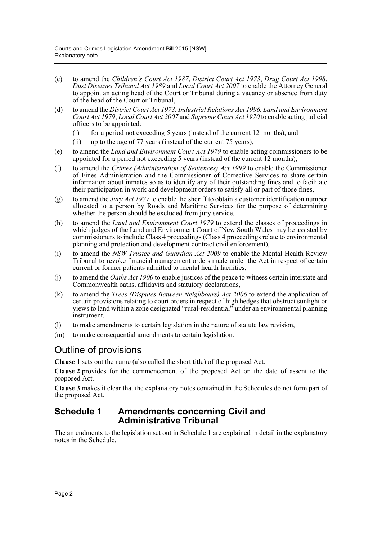- (c) to amend the *Children's Court Act 1987*, *District Court Act 1973*, *Drug Court Act 1998*, *Dust Diseases Tribunal Act 1989* and *Local Court Act 2007* to enable the Attorney General to appoint an acting head of the Court or Tribunal during a vacancy or absence from duty of the head of the Court or Tribunal,
- (d) to amend the *District Court Act 1973*, *Industrial Relations Act 1996*, *Land and Environment Court Act 1979*, *Local Court Act 2007* and *Supreme Court Act 1970* to enable acting judicial officers to be appointed:
	- (i) for a period not exceeding 5 years (instead of the current 12 months), and
	- (ii) up to the age of 77 years (instead of the current 75 years),
- (e) to amend the *Land and Environment Court Act 1979* to enable acting commissioners to be appointed for a period not exceeding 5 years (instead of the current 12 months),
- (f) to amend the *Crimes (Administration of Sentences) Act 1999* to enable the Commissioner of Fines Administration and the Commissioner of Corrective Services to share certain information about inmates so as to identify any of their outstanding fines and to facilitate their participation in work and development orders to satisfy all or part of those fines,
- (g) to amend the *Jury Act 1977* to enable the sheriff to obtain a customer identification number allocated to a person by Roads and Maritime Services for the purpose of determining whether the person should be excluded from jury service,
- (h) to amend the *Land and Environment Court 1979* to extend the classes of proceedings in which judges of the Land and Environment Court of New South Wales may be assisted by commissioners to include Class 4 proceedings (Class 4 proceedings relate to environmental planning and protection and development contract civil enforcement),
- (i) to amend the *NSW Trustee and Guardian Act 2009* to enable the Mental Health Review Tribunal to revoke financial management orders made under the Act in respect of certain current or former patients admitted to mental health facilities,
- (j) to amend the *Oaths Act 1900* to enable justices of the peace to witness certain interstate and Commonwealth oaths, affidavits and statutory declarations,
- (k) to amend the *Trees (Disputes Between Neighbours) Act 2006* to extend the application of certain provisions relating to court orders in respect of high hedges that obstruct sunlight or views to land within a zone designated "rural-residential" under an environmental planning instrument,
- (l) to make amendments to certain legislation in the nature of statute law revision,
- (m) to make consequential amendments to certain legislation.

### Outline of provisions

**Clause 1** sets out the name (also called the short title) of the proposed Act.

**Clause 2** provides for the commencement of the proposed Act on the date of assent to the proposed Act.

**Clause 3** makes it clear that the explanatory notes contained in the Schedules do not form part of the proposed Act.

#### **Schedule 1 Amendments concerning Civil and Administrative Tribunal**

The amendments to the legislation set out in Schedule 1 are explained in detail in the explanatory notes in the Schedule.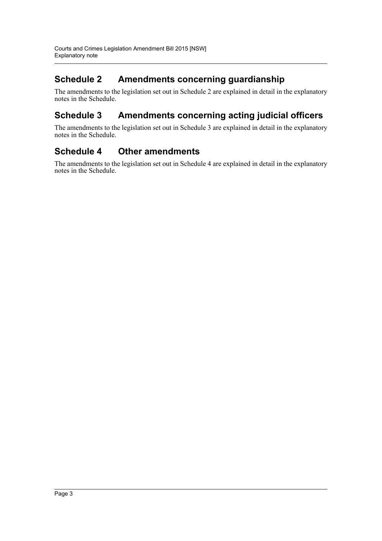## **Schedule 2 Amendments concerning guardianship**

The amendments to the legislation set out in Schedule 2 are explained in detail in the explanatory notes in the Schedule.

## **Schedule 3 Amendments concerning acting judicial officers**

The amendments to the legislation set out in Schedule 3 are explained in detail in the explanatory notes in the Schedule.

### **Schedule 4 Other amendments**

The amendments to the legislation set out in Schedule 4 are explained in detail in the explanatory notes in the Schedule.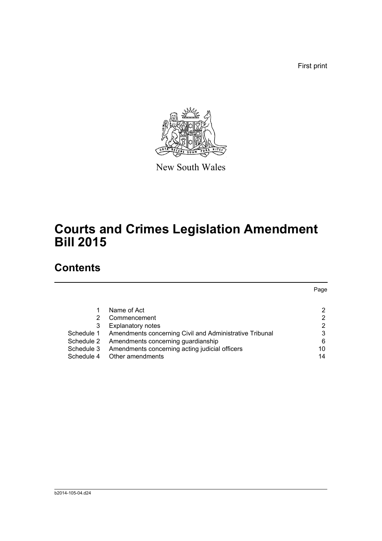First print



New South Wales

# **Courts and Crimes Legislation Amendment Bill 2015**

## **Contents**

|            |                                                         | Page |
|------------|---------------------------------------------------------|------|
|            |                                                         |      |
|            | Name of Act                                             | 2    |
|            | Commencement                                            | 2    |
| 3          | <b>Explanatory notes</b>                                | 2    |
| Schedule 1 | Amendments concerning Civil and Administrative Tribunal | 3    |
| Schedule 2 | Amendments concerning guardianship                      | 6    |
| Schedule 3 | Amendments concerning acting judicial officers          | 10   |
| Schedule 4 | Other amendments                                        | 14   |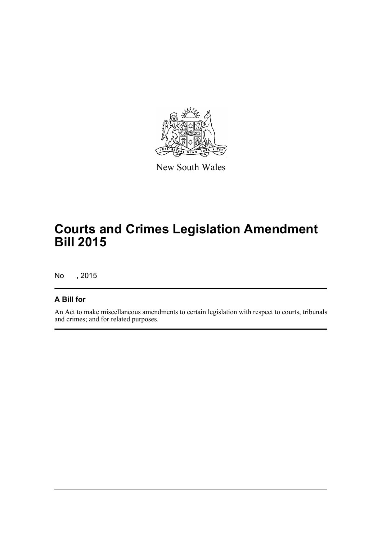

New South Wales

# **Courts and Crimes Legislation Amendment Bill 2015**

No , 2015

#### **A Bill for**

An Act to make miscellaneous amendments to certain legislation with respect to courts, tribunals and crimes; and for related purposes.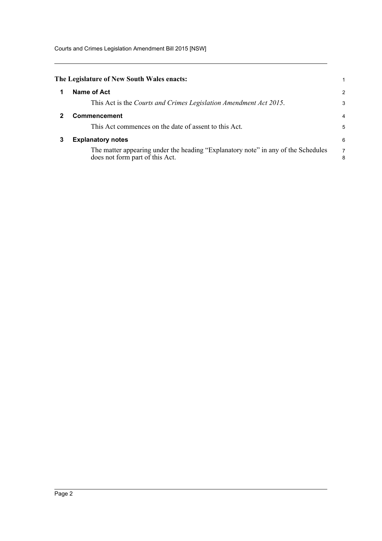Courts and Crimes Legislation Amendment Bill 2015 [NSW]

<span id="page-5-2"></span><span id="page-5-1"></span><span id="page-5-0"></span>

|   | The Legislature of New South Wales enacts:                                                                           | 1             |
|---|----------------------------------------------------------------------------------------------------------------------|---------------|
|   | Name of Act                                                                                                          | $\mathcal{P}$ |
|   | This Act is the Courts and Crimes Legislation Amendment Act 2015.                                                    | 3             |
|   | <b>Commencement</b>                                                                                                  | 4             |
|   | This Act commences on the date of assent to this Act.                                                                | 5             |
| 3 | <b>Explanatory notes</b>                                                                                             | 6             |
|   | The matter appearing under the heading "Explanatory note" in any of the Schedules<br>does not form part of this Act. | 7<br>8        |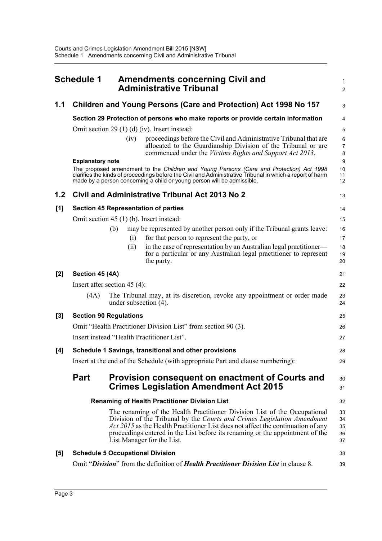<span id="page-6-0"></span>

|       | <b>Schedule 1</b>       | <b>Amendments concerning Civil and</b><br><b>Administrative Tribunal</b>                                                                                                                                                                                                                                                                                | 1<br>$\overline{\mathbf{c}}$ |
|-------|-------------------------|---------------------------------------------------------------------------------------------------------------------------------------------------------------------------------------------------------------------------------------------------------------------------------------------------------------------------------------------------------|------------------------------|
| 1.1   |                         | Children and Young Persons (Care and Protection) Act 1998 No 157                                                                                                                                                                                                                                                                                        | 3                            |
|       |                         | Section 29 Protection of persons who make reports or provide certain information                                                                                                                                                                                                                                                                        | 4                            |
|       |                         | Omit section 29 $(1)$ (d) (iv). Insert instead:                                                                                                                                                                                                                                                                                                         | 5                            |
|       |                         | proceedings before the Civil and Administrative Tribunal that are<br>(iv)                                                                                                                                                                                                                                                                               | 6                            |
|       |                         | allocated to the Guardianship Division of the Tribunal or are<br>commenced under the Victims Rights and Support Act 2013,                                                                                                                                                                                                                               | 7<br>8                       |
|       | <b>Explanatory note</b> | The proposed amendment to the Children and Young Persons (Care and Protection) Act 1998                                                                                                                                                                                                                                                                 | 9<br>10                      |
|       |                         | clarifies the kinds of proceedings before the Civil and Administrative Tribunal in which a report of harm<br>made by a person concerning a child or young person will be admissible.                                                                                                                                                                    | 11<br>12                     |
| 1.2   |                         | Civil and Administrative Tribunal Act 2013 No 2                                                                                                                                                                                                                                                                                                         | 13                           |
| [1]   |                         | <b>Section 45 Representation of parties</b>                                                                                                                                                                                                                                                                                                             | 14                           |
|       |                         | Omit section 45 (1) (b). Insert instead:                                                                                                                                                                                                                                                                                                                | 15                           |
|       |                         | may be represented by another person only if the Tribunal grants leave:<br>(b)                                                                                                                                                                                                                                                                          | 16                           |
|       |                         | for that person to represent the party, or<br>(i)                                                                                                                                                                                                                                                                                                       | 17                           |
|       |                         | in the case of representation by an Australian legal practitioner—<br>(i)<br>for a particular or any Australian legal practitioner to represent<br>the party.                                                                                                                                                                                           | 18<br>19<br>20               |
| [2]   | Section 45 (4A)         |                                                                                                                                                                                                                                                                                                                                                         | 21                           |
|       |                         | Insert after section $45(4)$ :                                                                                                                                                                                                                                                                                                                          | 22                           |
|       | (4A)                    | The Tribunal may, at its discretion, revoke any appointment or order made<br>under subsection $(4)$ .                                                                                                                                                                                                                                                   | 23<br>24                     |
| $[3]$ |                         | <b>Section 90 Regulations</b>                                                                                                                                                                                                                                                                                                                           | 25                           |
|       |                         | Omit "Health Practitioner Division List" from section 90 (3).                                                                                                                                                                                                                                                                                           | 26                           |
|       |                         | Insert instead "Health Practitioner List".                                                                                                                                                                                                                                                                                                              | 27                           |
| [4]   |                         | Schedule 1 Savings, transitional and other provisions                                                                                                                                                                                                                                                                                                   | 28                           |
|       |                         | Insert at the end of the Schedule (with appropriate Part and clause numbering):                                                                                                                                                                                                                                                                         | 29                           |
|       | <b>Part</b>             | Provision consequent on enactment of Courts and<br><b>Crimes Legislation Amendment Act 2015</b>                                                                                                                                                                                                                                                         | 30<br>31                     |
|       |                         | <b>Renaming of Health Practitioner Division List</b>                                                                                                                                                                                                                                                                                                    | 32                           |
|       |                         | The renaming of the Health Practitioner Division List of the Occupational<br>Division of the Tribunal by the Courts and Crimes Legislation Amendment<br>Act 2015 as the Health Practitioner List does not affect the continuation of any<br>proceedings entered in the List before its renaming or the appointment of the<br>List Manager for the List. | 33<br>34<br>35<br>36<br>37   |
| [5]   |                         | <b>Schedule 5 Occupational Division</b>                                                                                                                                                                                                                                                                                                                 | 38                           |
|       |                         | Omit "Division" from the definition of Health Practitioner Division List in clause 8.                                                                                                                                                                                                                                                                   | 39                           |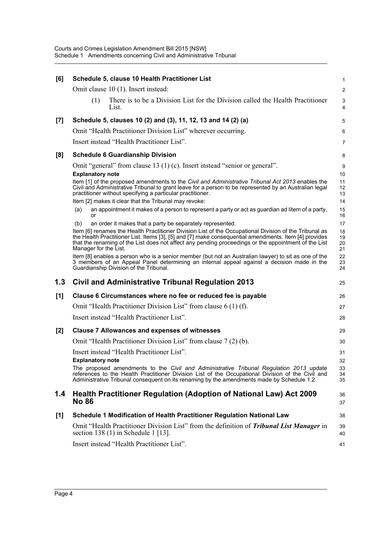| [6]   |                                                                      | Schedule 5, clause 10 Health Practitioner List                                                                                                                                                                                                                                                                                                                                                                                                                                                                                                                                                                                                                                                                                                                                                                                                                                                                                                                                                                                                                                                                                                               | 1                                                                                           |
|-------|----------------------------------------------------------------------|--------------------------------------------------------------------------------------------------------------------------------------------------------------------------------------------------------------------------------------------------------------------------------------------------------------------------------------------------------------------------------------------------------------------------------------------------------------------------------------------------------------------------------------------------------------------------------------------------------------------------------------------------------------------------------------------------------------------------------------------------------------------------------------------------------------------------------------------------------------------------------------------------------------------------------------------------------------------------------------------------------------------------------------------------------------------------------------------------------------------------------------------------------------|---------------------------------------------------------------------------------------------|
|       |                                                                      | Omit clause 10 (1). Insert instead:                                                                                                                                                                                                                                                                                                                                                                                                                                                                                                                                                                                                                                                                                                                                                                                                                                                                                                                                                                                                                                                                                                                          | $\overline{c}$                                                                              |
|       | (1)                                                                  | There is to be a Division List for the Division called the Health Practitioner<br>List.                                                                                                                                                                                                                                                                                                                                                                                                                                                                                                                                                                                                                                                                                                                                                                                                                                                                                                                                                                                                                                                                      | 3<br>4                                                                                      |
| $[7]$ |                                                                      | Schedule 5, clauses 10 (2) and (3), 11, 12, 13 and 14 (2) (a)                                                                                                                                                                                                                                                                                                                                                                                                                                                                                                                                                                                                                                                                                                                                                                                                                                                                                                                                                                                                                                                                                                | 5                                                                                           |
|       |                                                                      | Omit "Health Practitioner Division List" wherever occurring.                                                                                                                                                                                                                                                                                                                                                                                                                                                                                                                                                                                                                                                                                                                                                                                                                                                                                                                                                                                                                                                                                                 | 6                                                                                           |
|       |                                                                      | Insert instead "Health Practitioner List".                                                                                                                                                                                                                                                                                                                                                                                                                                                                                                                                                                                                                                                                                                                                                                                                                                                                                                                                                                                                                                                                                                                   | 7                                                                                           |
| [8]   |                                                                      | <b>Schedule 6 Guardianship Division</b>                                                                                                                                                                                                                                                                                                                                                                                                                                                                                                                                                                                                                                                                                                                                                                                                                                                                                                                                                                                                                                                                                                                      | 8                                                                                           |
|       | <b>Explanatory note</b><br>(a)<br>or<br>(b)<br>Manager for the List. | Omit "general" from clause 13 (1) (c). Insert instead "senior or general".<br>Item [1] of the proposed amendments to the Civil and Administrative Tribunal Act 2013 enables the<br>Civil and Administrative Tribunal to grant leave for a person to be represented by an Australian legal<br>practitioner without specifying a particular practitioner.<br>Item [2] makes it clear that the Tribunal may revoke:<br>an appointment it makes of a person to represent a party or act as guardian ad litem of a party,<br>an order it makes that a party be separately represented.<br>Item [6] renames the Health Practitioner Division List of the Occupational Division of the Tribunal as<br>the Health Practitioner List. Items [3], [5] and [7] make consequential amendments. Item [4] provides<br>that the renaming of the List does not affect any pending proceedings or the appointment of the List<br>Item [8] enables a person who is a senior member (but not an Australian lawyer) to sit as one of the<br>3 members of an Appeal Panel determining an internal appeal against a decision made in the<br>Guardianship Division of the Tribunal. | 9<br>10<br>11<br>12<br>13<br>14<br>15<br>16<br>17<br>18<br>19<br>20<br>21<br>22<br>23<br>24 |
| 1.3   |                                                                      | Civil and Administrative Tribunal Regulation 2013                                                                                                                                                                                                                                                                                                                                                                                                                                                                                                                                                                                                                                                                                                                                                                                                                                                                                                                                                                                                                                                                                                            | 25                                                                                          |
| [1]   |                                                                      | Clause 6 Circumstances where no fee or reduced fee is payable                                                                                                                                                                                                                                                                                                                                                                                                                                                                                                                                                                                                                                                                                                                                                                                                                                                                                                                                                                                                                                                                                                | 26                                                                                          |
|       |                                                                      | Omit "Health Practitioner Division List" from clause 6 (1) (f).                                                                                                                                                                                                                                                                                                                                                                                                                                                                                                                                                                                                                                                                                                                                                                                                                                                                                                                                                                                                                                                                                              | 27                                                                                          |
|       |                                                                      | Insert instead "Health Practitioner List".                                                                                                                                                                                                                                                                                                                                                                                                                                                                                                                                                                                                                                                                                                                                                                                                                                                                                                                                                                                                                                                                                                                   | 28                                                                                          |
| $[2]$ |                                                                      | <b>Clause 7 Allowances and expenses of witnesses</b>                                                                                                                                                                                                                                                                                                                                                                                                                                                                                                                                                                                                                                                                                                                                                                                                                                                                                                                                                                                                                                                                                                         | 29                                                                                          |
|       |                                                                      | Omit "Health Practitioner Division List" from clause 7(2)(b).                                                                                                                                                                                                                                                                                                                                                                                                                                                                                                                                                                                                                                                                                                                                                                                                                                                                                                                                                                                                                                                                                                | 30                                                                                          |
|       | <b>Explanatory note</b>                                              | Insert instead "Health Practitioner List".<br>The proposed amendments to the Civil and Administrative Tribunal Regulation 2013 update<br>references to the Health Practitioner Division List of the Occupational Division of the Civil and<br>Administrative Tribunal consequent on its renaming by the amendments made by Schedule 1.2.                                                                                                                                                                                                                                                                                                                                                                                                                                                                                                                                                                                                                                                                                                                                                                                                                     | 31<br>32<br>33<br>34<br>35                                                                  |
| 1.4   | <b>No 86</b>                                                         | Health Practitioner Regulation (Adoption of National Law) Act 2009                                                                                                                                                                                                                                                                                                                                                                                                                                                                                                                                                                                                                                                                                                                                                                                                                                                                                                                                                                                                                                                                                           | 36<br>37                                                                                    |
| [1]   |                                                                      | Schedule 1 Modification of Health Practitioner Regulation National Law                                                                                                                                                                                                                                                                                                                                                                                                                                                                                                                                                                                                                                                                                                                                                                                                                                                                                                                                                                                                                                                                                       | 38                                                                                          |
|       |                                                                      | Omit "Health Practitioner Division List" from the definition of <b>Tribunal List Manager</b> in<br>section 138 $(1)$ in Schedule 1 [13].                                                                                                                                                                                                                                                                                                                                                                                                                                                                                                                                                                                                                                                                                                                                                                                                                                                                                                                                                                                                                     | 39<br>40                                                                                    |
|       |                                                                      | Insert instead "Health Practitioner List".                                                                                                                                                                                                                                                                                                                                                                                                                                                                                                                                                                                                                                                                                                                                                                                                                                                                                                                                                                                                                                                                                                                   | 41                                                                                          |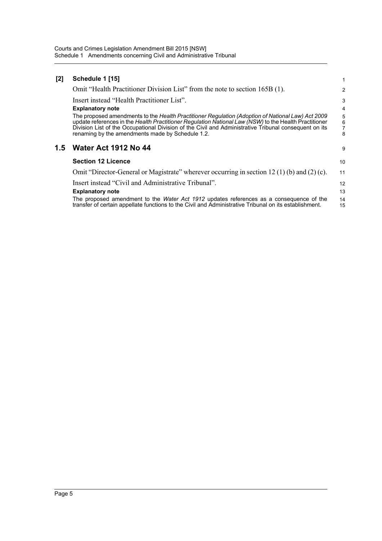| $[2]$            | Schedule 1 [15]                                                                                                                                                                                                                                                                                                                                                         |                  |
|------------------|-------------------------------------------------------------------------------------------------------------------------------------------------------------------------------------------------------------------------------------------------------------------------------------------------------------------------------------------------------------------------|------------------|
|                  | Omit "Health Practitioner Division List" from the note to section 165B (1).                                                                                                                                                                                                                                                                                             | 2                |
|                  | Insert instead "Health Practitioner List".                                                                                                                                                                                                                                                                                                                              | 3                |
|                  | <b>Explanatory note</b>                                                                                                                                                                                                                                                                                                                                                 | 4                |
|                  | The proposed amendments to the Health Practitioner Regulation (Adoption of National Law) Act 2009<br>update references in the Health Practitioner Regulation National Law (NSW) to the Health Practitioner<br>Division List of the Occupational Division of the Civil and Administrative Tribunal consequent on its<br>renaming by the amendments made by Schedule 1.2. | 5<br>6<br>7<br>8 |
| 1.5 <sub>1</sub> | <b>Water Act 1912 No 44</b>                                                                                                                                                                                                                                                                                                                                             | 9                |
|                  | <b>Section 12 Licence</b>                                                                                                                                                                                                                                                                                                                                               | 10               |
|                  | Omit "Director-General or Magistrate" wherever occurring in section 12 (1) (b) and (2) (c).                                                                                                                                                                                                                                                                             | 11               |
|                  | Insert instead "Civil and Administrative Tribunal".                                                                                                                                                                                                                                                                                                                     | 12               |
|                  | <b>Explanatory note</b>                                                                                                                                                                                                                                                                                                                                                 | 13               |
|                  | The proposed amendment to the Water Act 1912 updates references as a consequence of the<br>transfer of certain appellate functions to the Civil and Administrative Tribunal on its establishment.                                                                                                                                                                       | 14<br>15         |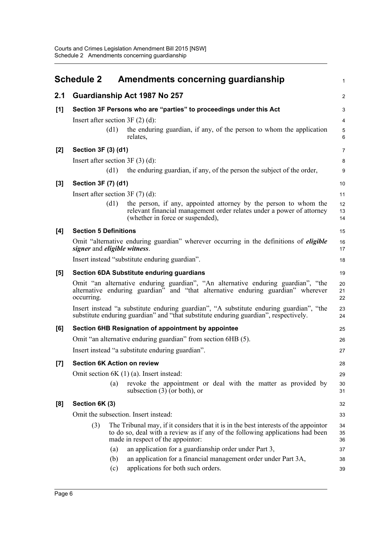<span id="page-9-0"></span>

|       | <b>Schedule 2</b>                    | Amendments concerning guardianship                                                                                                                                                                          | $\mathbf{1}$        |
|-------|--------------------------------------|-------------------------------------------------------------------------------------------------------------------------------------------------------------------------------------------------------------|---------------------|
| 2.1   |                                      | Guardianship Act 1987 No 257                                                                                                                                                                                | 2                   |
| [1]   |                                      | Section 3F Persons who are "parties" to proceedings under this Act                                                                                                                                          | 3                   |
|       | Insert after section $3F(2)$ (d):    |                                                                                                                                                                                                             | 4                   |
|       | (d1)                                 | the enduring guardian, if any, of the person to whom the application<br>relates,                                                                                                                            | $\overline{5}$<br>6 |
| [2]   | Section 3F (3) (d1)                  |                                                                                                                                                                                                             | $\overline{7}$      |
|       | Insert after section $3F(3)(d)$ :    |                                                                                                                                                                                                             | 8                   |
|       | (d1)                                 | the enduring guardian, if any, of the person the subject of the order,                                                                                                                                      | 9                   |
| $[3]$ | Section 3F (7) (d1)                  |                                                                                                                                                                                                             | 10                  |
|       | Insert after section $3F(7)(d)$ :    |                                                                                                                                                                                                             | 11                  |
|       | (d1)                                 | the person, if any, appointed attorney by the person to whom the<br>relevant financial management order relates under a power of attorney<br>(whether in force or suspended),                               | 12<br>13<br>14      |
| [4]   | <b>Section 5 Definitions</b>         |                                                                                                                                                                                                             | 15                  |
|       | signer and eligible witness.         | Omit "alternative enduring guardian" wherever occurring in the definitions of <i>eligible</i>                                                                                                               | 16<br>17            |
|       |                                      | Insert instead "substitute enduring guardian".                                                                                                                                                              | 18                  |
| [5]   |                                      | <b>Section 6DA Substitute enduring guardians</b>                                                                                                                                                            | 19                  |
|       | occurring.                           | Omit "an alternative enduring guardian", "An alternative enduring guardian", "the<br>alternative enduring guardian" and "that alternative enduring guardian" wherever                                       | 20<br>21<br>22      |
|       |                                      | Insert instead "a substitute enduring guardian", "A substitute enduring guardian", "the<br>substitute enduring guardian" and "that substitute enduring guardian", respectively.                             | 23<br>24            |
| [6]   |                                      | Section 6HB Resignation of appointment by appointee                                                                                                                                                         | 25                  |
|       |                                      | Omit "an alternative enduring guardian" from section 6HB (5).                                                                                                                                               | 26                  |
|       |                                      | Insert instead "a substitute enduring guardian".                                                                                                                                                            | 27                  |
| $[7]$ | <b>Section 6K Action on review</b>   |                                                                                                                                                                                                             | 28                  |
|       |                                      | Omit section $6K(1)(a)$ . Insert instead:                                                                                                                                                                   | 29                  |
|       | (a)                                  | revoke the appointment or deal with the matter as provided by<br>subsection $(3)$ (or both), or                                                                                                             | 30<br>31            |
| [8]   | Section 6K (3)                       |                                                                                                                                                                                                             | 32                  |
|       | Omit the subsection. Insert instead: |                                                                                                                                                                                                             | 33                  |
|       | (3)                                  | The Tribunal may, if it considers that it is in the best interests of the appoint or<br>to do so, deal with a review as if any of the following applications had been<br>made in respect of the appoint or: | 34<br>35<br>36      |
|       | (a)                                  | an application for a guardianship order under Part 3,                                                                                                                                                       | 37                  |
|       | (b)<br>(c)                           | an application for a financial management order under Part 3A,<br>applications for both such orders.                                                                                                        | 38<br>39            |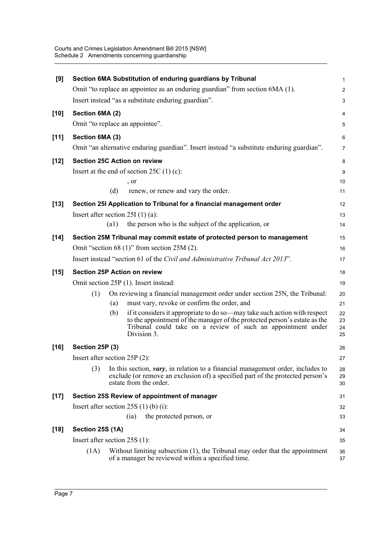| [9]    |                                 |      | Section 6MA Substitution of enduring guardians by Tribunal                                                                                                                                                                            | 1                       |
|--------|---------------------------------|------|---------------------------------------------------------------------------------------------------------------------------------------------------------------------------------------------------------------------------------------|-------------------------|
|        |                                 |      | Omit "to replace an appointee as an enduring guardian" from section 6MA (1).                                                                                                                                                          | $\overline{\mathbf{c}}$ |
|        |                                 |      | Insert instead "as a substitute enduring guardian".                                                                                                                                                                                   | 3                       |
| $[10]$ | Section 6MA (2)                 |      |                                                                                                                                                                                                                                       | 4                       |
|        |                                 |      | Omit "to replace an appointee".                                                                                                                                                                                                       | 5                       |
| $[11]$ | Section 6MA (3)                 |      |                                                                                                                                                                                                                                       | 6                       |
|        |                                 |      | Omit "an alternative enduring guardian". Insert instead "a substitute enduring guardian".                                                                                                                                             | 7                       |
| $[12]$ |                                 |      | <b>Section 25C Action on review</b>                                                                                                                                                                                                   | 8                       |
|        |                                 |      | Insert at the end of section $25C(1)(c)$ :                                                                                                                                                                                            | 9                       |
|        |                                 |      | , or                                                                                                                                                                                                                                  | 10                      |
|        |                                 | (d)  | renew, or renew and vary the order.                                                                                                                                                                                                   | 11                      |
| $[13]$ |                                 |      | Section 25I Application to Tribunal for a financial management order                                                                                                                                                                  | 12                      |
|        |                                 |      | Insert after section $25I(1)(a)$ :                                                                                                                                                                                                    | 13                      |
|        |                                 | (a1) | the person who is the subject of the application, or                                                                                                                                                                                  | 14                      |
| $[14]$ |                                 |      | Section 25M Tribunal may commit estate of protected person to management                                                                                                                                                              | 15                      |
|        |                                 |      | Omit "section 68 $(1)$ " from section 25M $(2)$ .                                                                                                                                                                                     | 16                      |
|        |                                 |      | Insert instead "section 61 of the Civil and Administrative Tribunal Act 2013".                                                                                                                                                        | 17                      |
| $[15]$ |                                 |      | <b>Section 25P Action on review</b>                                                                                                                                                                                                   | 18                      |
|        |                                 |      | Omit section 25P (1). Insert instead:                                                                                                                                                                                                 | 19                      |
|        | (1)                             |      | On reviewing a financial management order under section 25N, the Tribunal:                                                                                                                                                            | 20                      |
|        |                                 | (a)  | must vary, revoke or confirm the order, and                                                                                                                                                                                           | 21                      |
|        |                                 | (b)  | if it considers it appropriate to do so—may take such action with respect<br>to the appointment of the manager of the protected person's estate as the<br>Tribunal could take on a review of such an appointment under<br>Division 3. | 22<br>23<br>24<br>25    |
| $[16]$ | Section 25P (3)                 |      |                                                                                                                                                                                                                                       | 26                      |
|        | Insert after section $25P(2)$ : |      |                                                                                                                                                                                                                                       | 27                      |
|        | (3)                             |      | In this section, <i>vary</i> , in relation to a financial management order, includes to<br>exclude (or remove an exclusion of) a specified part of the protected person's<br>estate from the order.                                   | 28<br>29<br>30          |
| $[17]$ |                                 |      | Section 25S Review of appointment of manager                                                                                                                                                                                          | 31                      |
|        |                                 |      | Insert after section $25S(1)$ (b) (i):                                                                                                                                                                                                | 32                      |
|        |                                 |      | the protected person, or<br>(ia)                                                                                                                                                                                                      | 33                      |
| $[18]$ | Section 25S (1A)                |      |                                                                                                                                                                                                                                       | 34                      |
|        | Insert after section $25S(1)$ : |      |                                                                                                                                                                                                                                       | 35                      |
|        | (1A)                            |      | Without limiting subsection $(1)$ , the Tribunal may order that the appointment<br>of a manager be reviewed within a specified time.                                                                                                  | 36<br>37                |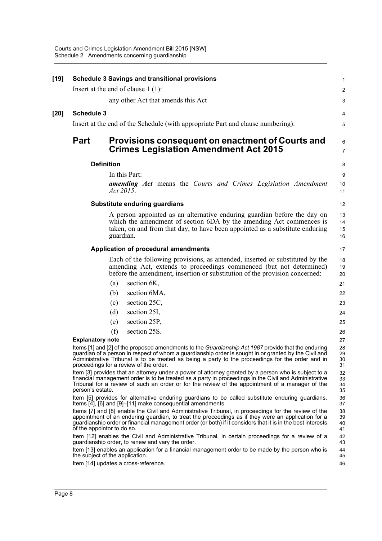| [19] |                            | <b>Schedule 3 Savings and transitional provisions</b>                                                                                                                                                                                                                                                                                                       | $\mathbf{1}$               |
|------|----------------------------|-------------------------------------------------------------------------------------------------------------------------------------------------------------------------------------------------------------------------------------------------------------------------------------------------------------------------------------------------------------|----------------------------|
|      |                            | Insert at the end of clause $1(1)$ :                                                                                                                                                                                                                                                                                                                        | 2                          |
|      |                            | any other Act that amends this Act                                                                                                                                                                                                                                                                                                                          | 3                          |
| [20] | <b>Schedule 3</b>          |                                                                                                                                                                                                                                                                                                                                                             | 4                          |
|      |                            | Insert at the end of the Schedule (with appropriate Part and clause numbering):                                                                                                                                                                                                                                                                             | 5                          |
|      | <b>Part</b>                | Provisions consequent on enactment of Courts and<br><b>Crimes Legislation Amendment Act 2015</b>                                                                                                                                                                                                                                                            | 6<br>$\overline{7}$        |
|      | <b>Definition</b>          |                                                                                                                                                                                                                                                                                                                                                             | 8                          |
|      |                            | In this Part:                                                                                                                                                                                                                                                                                                                                               | 9                          |
|      |                            | <b>amending Act</b> means the Courts and Crimes Legislation Amendment<br>Act 2015.                                                                                                                                                                                                                                                                          | 10<br>11                   |
|      |                            | Substitute enduring guardians                                                                                                                                                                                                                                                                                                                               | 12                         |
|      |                            | A person appointed as an alternative enduring guardian before the day on<br>which the amendment of section 6DA by the amending Act commences is<br>taken, on and from that day, to have been appointed as a substitute enduring<br>guardian.                                                                                                                | 13<br>14<br>15<br>16       |
|      |                            | Application of procedural amendments                                                                                                                                                                                                                                                                                                                        | 17                         |
|      |                            | Each of the following provisions, as amended, inserted or substituted by the<br>amending Act, extends to proceedings commenced (but not determined)<br>before the amendment, insertion or substitution of the provision concerned:                                                                                                                          | 18<br>19<br>20             |
|      |                            | section 6K,<br>(a)                                                                                                                                                                                                                                                                                                                                          | 21                         |
|      |                            | section 6MA,<br>(b)                                                                                                                                                                                                                                                                                                                                         | 22                         |
|      |                            | section 25C,<br>(c)                                                                                                                                                                                                                                                                                                                                         | 23                         |
|      |                            | section 25I,<br>(d)                                                                                                                                                                                                                                                                                                                                         | 24                         |
|      |                            | section 25P,<br>(e)                                                                                                                                                                                                                                                                                                                                         | 25                         |
|      |                            | section 25S.<br>(f)                                                                                                                                                                                                                                                                                                                                         | 26                         |
|      | <b>Explanatory note</b>    | Items [1] and [2] of the proposed amendments to the Guardianship Act 1987 provide that the enduring<br>guardian of a person in respect of whom a guardianship order is sought in or granted by the Civil and<br>Administrative Tribunal is to be treated as being a party to the proceedings for the order and in<br>proceedings for a review of the order. | 27<br>28<br>29<br>30<br>31 |
|      | person's estate.           | Item [3] provides that an attorney under a power of attorney granted by a person who is subject to a<br>financial management order is to be treated as a party in proceedings in the Civil and Administrative<br>Tribunal for a review of such an order or for the review of the appointment of a manager of the                                            | 32<br>33<br>34<br>35       |
|      |                            | Item [5] provides for alternative enduring guardians to be called substitute enduring guardians.<br>Items [4], [6] and [9]-[11] make consequential amendments.                                                                                                                                                                                              | 36<br>37                   |
|      | of the appointor to do so. | Items [7] and [8] enable the Civil and Administrative Tribunal, in proceedings for the review of the<br>appointment of an enduring guardian, to treat the proceedings as if they were an application for a<br>guardianship order or financial management order (or both) if it considers that it is in the best interests                                   | 38<br>39<br>40<br>41       |
|      |                            | Item [12] enables the Civil and Administrative Tribunal, in certain proceedings for a review of a<br>guardianship order, to renew and vary the order.                                                                                                                                                                                                       | 42<br>43                   |
|      |                            | Item [13] enables an application for a financial management order to be made by the person who is<br>the subject of the application.                                                                                                                                                                                                                        | 44<br>45                   |
|      |                            | Item [14] updates a cross-reference.                                                                                                                                                                                                                                                                                                                        | 46                         |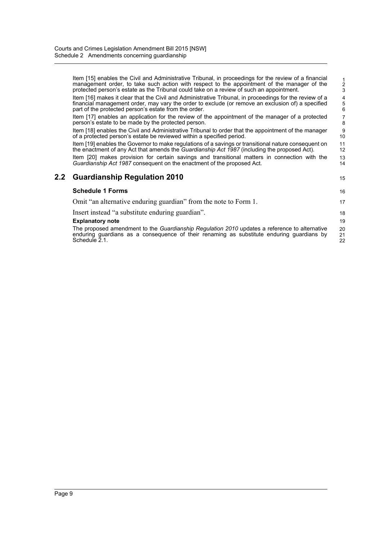|     | Item [15] enables the Civil and Administrative Tribunal, in proceedings for the review of a financial<br>management order, to take such action with respect to the appointment of the manager of the<br>protected person's estate as the Tribunal could take on a review of such an appointment. | $\frac{1}{3}$                              |
|-----|--------------------------------------------------------------------------------------------------------------------------------------------------------------------------------------------------------------------------------------------------------------------------------------------------|--------------------------------------------|
|     | Item [16] makes it clear that the Civil and Administrative Tribunal, in proceedings for the review of a<br>financial management order, may vary the order to exclude (or remove an exclusion of) a specified<br>part of the protected person's estate from the order.                            | $\begin{array}{c} 4 \\ 5 \\ 6 \end{array}$ |
|     | Item [17] enables an application for the review of the appointment of the manager of a protected<br>person's estate to be made by the protected person.                                                                                                                                          | 7<br>8                                     |
|     | Item [18] enables the Civil and Administrative Tribunal to order that the appointment of the manager<br>of a protected person's estate be reviewed within a specified period.                                                                                                                    | 9<br>10                                    |
|     | Item [19] enables the Governor to make regulations of a savings or transitional nature consequent on<br>the enactment of any Act that amends the <i>Guardianship Act 1987</i> (including the proposed Act).                                                                                      | 11<br>12                                   |
|     | Item [20] makes provision for certain savings and transitional matters in connection with the<br>Guardianship Act 1987 consequent on the enactment of the proposed Act.                                                                                                                          | 13<br>14                                   |
| 2.2 | <b>Guardianship Regulation 2010</b>                                                                                                                                                                                                                                                              | 15                                         |
|     | <b>Schedule 1 Forms</b>                                                                                                                                                                                                                                                                          | 16                                         |
|     | Omit "an alternative enduring guardian" from the note to Form 1.                                                                                                                                                                                                                                 | 17                                         |
|     | Insert instead "a substitute enduring guardian".                                                                                                                                                                                                                                                 | 18                                         |
|     | <b>Explanatory note</b>                                                                                                                                                                                                                                                                          | 19                                         |
|     | The proposed amendment to the Guardianship Regulation 2010 updates a reference to alternative<br>enduring guardians as a consequence of their renaming as substitute enduring guardians by<br>Schedule 2.1.                                                                                      | 20<br>21<br>22                             |
|     |                                                                                                                                                                                                                                                                                                  |                                            |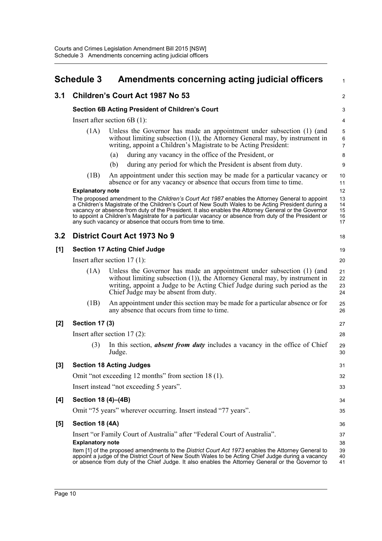<span id="page-13-0"></span>

|       | <b>Schedule 3</b>       | Amendments concerning acting judicial officers                                                                                                                                                                                                                                                                                                                                                                                                                                     | $\mathbf{1}$                       |
|-------|-------------------------|------------------------------------------------------------------------------------------------------------------------------------------------------------------------------------------------------------------------------------------------------------------------------------------------------------------------------------------------------------------------------------------------------------------------------------------------------------------------------------|------------------------------------|
| 3.1   |                         | <b>Children's Court Act 1987 No 53</b>                                                                                                                                                                                                                                                                                                                                                                                                                                             | 2                                  |
|       |                         | <b>Section 6B Acting President of Children's Court</b>                                                                                                                                                                                                                                                                                                                                                                                                                             | 3                                  |
|       |                         | Insert after section $6B(1)$ :                                                                                                                                                                                                                                                                                                                                                                                                                                                     | 4                                  |
|       | (1A)                    | Unless the Governor has made an appointment under subsection (1) (and<br>without limiting subsection $(1)$ ), the Attorney General may, by instrument in<br>writing, appoint a Children's Magistrate to be Acting President:                                                                                                                                                                                                                                                       | $\mathbf 5$<br>6<br>$\overline{7}$ |
|       |                         | during any vacancy in the office of the President, or<br>(a)                                                                                                                                                                                                                                                                                                                                                                                                                       | 8                                  |
|       |                         | (b)<br>during any period for which the President is absent from duty.                                                                                                                                                                                                                                                                                                                                                                                                              | 9                                  |
|       | (1B)                    | An appointment under this section may be made for a particular vacancy or<br>absence or for any vacancy or absence that occurs from time to time.                                                                                                                                                                                                                                                                                                                                  | 10<br>11                           |
|       | <b>Explanatory note</b> |                                                                                                                                                                                                                                                                                                                                                                                                                                                                                    | 12                                 |
|       |                         | The proposed amendment to the Children's Court Act 1987 enables the Attorney General to appoint<br>a Children's Magistrate of the Children's Court of New South Wales to be Acting President during a<br>vacancy or absence from duty of the President. It also enables the Attorney General or the Governor<br>to appoint a Children's Magistrate for a particular vacancy or absence from duty of the President or<br>any such vacancy or absence that occurs from time to time. | 13<br>14<br>15<br>16<br>17         |
| 3.2   |                         | District Court Act 1973 No 9                                                                                                                                                                                                                                                                                                                                                                                                                                                       | 18                                 |
| [1]   |                         | <b>Section 17 Acting Chief Judge</b>                                                                                                                                                                                                                                                                                                                                                                                                                                               | 19                                 |
|       |                         | Insert after section $17(1)$ :                                                                                                                                                                                                                                                                                                                                                                                                                                                     | 20                                 |
|       | (1A)                    | Unless the Governor has made an appointment under subsection (1) (and<br>without limiting subsection $(1)$ ), the Attorney General may, by instrument in<br>writing, appoint a Judge to be Acting Chief Judge during such period as the<br>Chief Judge may be absent from duty.                                                                                                                                                                                                    | 21<br>22<br>23<br>24               |
|       | (1B)                    | An appointment under this section may be made for a particular absence or for<br>any absence that occurs from time to time.                                                                                                                                                                                                                                                                                                                                                        | 25<br>26                           |
| [2]   | <b>Section 17 (3)</b>   |                                                                                                                                                                                                                                                                                                                                                                                                                                                                                    | 27                                 |
|       |                         | Insert after section $17(2)$ :                                                                                                                                                                                                                                                                                                                                                                                                                                                     | 28                                 |
|       | (3)                     | In this section, <b>absent from duty</b> includes a vacancy in the office of Chief<br>Judge.                                                                                                                                                                                                                                                                                                                                                                                       | 29<br>30                           |
| $[3]$ |                         | <b>Section 18 Acting Judges</b>                                                                                                                                                                                                                                                                                                                                                                                                                                                    | 31                                 |
|       |                         | Omit "not exceeding 12 months" from section 18 (1).                                                                                                                                                                                                                                                                                                                                                                                                                                | 32                                 |
|       |                         | Insert instead "not exceeding 5 years".                                                                                                                                                                                                                                                                                                                                                                                                                                            | 33                                 |
| [4]   | Section 18 (4)–(4B)     |                                                                                                                                                                                                                                                                                                                                                                                                                                                                                    | 34                                 |
|       |                         | Omit "75 years" wherever occurring. Insert instead "77 years".                                                                                                                                                                                                                                                                                                                                                                                                                     | 35                                 |
| [5]   | Section 18 (4A)         |                                                                                                                                                                                                                                                                                                                                                                                                                                                                                    | 36                                 |
|       | <b>Explanatory note</b> | Insert "or Family Court of Australia" after "Federal Court of Australia".<br>Item [1] of the proposed amendments to the District Court Act 1973 enables the Attorney General to<br>appoint a judge of the District Court of New South Wales to be Acting Chief Judge during a vacancy<br>or absence from duty of the Chief Judge. It also enables the Attorney General or the Governor to                                                                                          | 37<br>38<br>39<br>40<br>41         |
|       |                         |                                                                                                                                                                                                                                                                                                                                                                                                                                                                                    |                                    |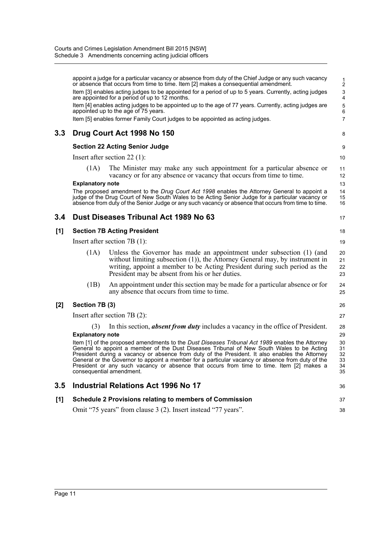|         |                                | appoint a judge for a particular vacancy or absence from duty of the Chief Judge or any such vacancy<br>or absence that occurs from time to time. Item [2] makes a consequential amendment.<br>Item [3] enables acting judges to be appointed for a period of up to 5 years. Currently, acting judges<br>are appointed for a period of up to 12 months.<br>Item [4] enables acting judges to be appointed up to the age of 77 years. Currently, acting judges are<br>appointed up to the age of 75 years.<br>Item [5] enables former Family Court judges to be appointed as acting judges. | $\frac{1}{2}$<br>$\ensuremath{\mathsf{3}}$<br>4<br>5<br>6<br>$\overline{7}$ |
|---------|--------------------------------|--------------------------------------------------------------------------------------------------------------------------------------------------------------------------------------------------------------------------------------------------------------------------------------------------------------------------------------------------------------------------------------------------------------------------------------------------------------------------------------------------------------------------------------------------------------------------------------------|-----------------------------------------------------------------------------|
| 3.3     |                                | Drug Court Act 1998 No 150                                                                                                                                                                                                                                                                                                                                                                                                                                                                                                                                                                 | 8                                                                           |
|         |                                |                                                                                                                                                                                                                                                                                                                                                                                                                                                                                                                                                                                            |                                                                             |
|         |                                | <b>Section 22 Acting Senior Judge</b>                                                                                                                                                                                                                                                                                                                                                                                                                                                                                                                                                      | 9                                                                           |
|         |                                | Insert after section $22$ (1):                                                                                                                                                                                                                                                                                                                                                                                                                                                                                                                                                             | 10                                                                          |
|         | (1A)                           | The Minister may make any such appointment for a particular absence or<br>vacancy or for any absence or vacancy that occurs from time to time.                                                                                                                                                                                                                                                                                                                                                                                                                                             | 11<br>12                                                                    |
|         | <b>Explanatory note</b>        |                                                                                                                                                                                                                                                                                                                                                                                                                                                                                                                                                                                            | 13                                                                          |
|         |                                | The proposed amendment to the Drug Court Act 1998 enables the Attorney General to appoint a<br>judge of the Drug Court of New South Wales to be Acting Senior Judge for a particular vacancy or<br>absence from duty of the Senior Judge or any such vacancy or absence that occurs from time to time.                                                                                                                                                                                                                                                                                     | 14<br>15<br>16                                                              |
| 3.4     |                                | Dust Diseases Tribunal Act 1989 No 63                                                                                                                                                                                                                                                                                                                                                                                                                                                                                                                                                      | 17                                                                          |
| [1]     |                                | <b>Section 7B Acting President</b>                                                                                                                                                                                                                                                                                                                                                                                                                                                                                                                                                         | 18                                                                          |
|         |                                | Insert after section $7B(1)$ :                                                                                                                                                                                                                                                                                                                                                                                                                                                                                                                                                             | 19                                                                          |
|         | (1A)                           | Unless the Governor has made an appointment under subsection (1) (and<br>without limiting subsection (1)), the Attorney General may, by instrument in<br>writing, appoint a member to be Acting President during such period as the<br>President may be absent from his or her duties.                                                                                                                                                                                                                                                                                                     | 20<br>21<br>22<br>23                                                        |
|         | (1B)                           | An appointment under this section may be made for a particular absence or for<br>any absence that occurs from time to time.                                                                                                                                                                                                                                                                                                                                                                                                                                                                | 24<br>25                                                                    |
| [2]     | Section 7B (3)                 |                                                                                                                                                                                                                                                                                                                                                                                                                                                                                                                                                                                            | 26                                                                          |
|         |                                | Insert after section $7B(2)$ :                                                                                                                                                                                                                                                                                                                                                                                                                                                                                                                                                             | 27                                                                          |
|         | (3)<br><b>Explanatory note</b> | In this section, <b>absent from duty</b> includes a vacancy in the office of President.                                                                                                                                                                                                                                                                                                                                                                                                                                                                                                    | 28<br>29                                                                    |
|         |                                | Item [1] of the proposed amendments to the Dust Diseases Tribunal Act 1989 enables the Attorney<br>General to appoint a member of the Dust Diseases Tribunal of New South Wales to be Acting<br>President during a vacancy or absence from duty of the President. It also enables the Attorney<br>General or the Governor to appoint a member for a particular vacancy or absence from duty of the<br>President or any such vacancy or absence that occurs from time to time. Item [2] makes a<br>consequential amendment.                                                                 | 30<br>31<br>32<br>33<br>34<br>35                                            |
| $3.5\,$ |                                | <b>Industrial Relations Act 1996 No 17</b>                                                                                                                                                                                                                                                                                                                                                                                                                                                                                                                                                 | 36                                                                          |
| [1]     |                                | <b>Schedule 2 Provisions relating to members of Commission</b>                                                                                                                                                                                                                                                                                                                                                                                                                                                                                                                             | 37                                                                          |
|         |                                | Omit "75 years" from clause 3 (2). Insert instead "77 years".                                                                                                                                                                                                                                                                                                                                                                                                                                                                                                                              | 38                                                                          |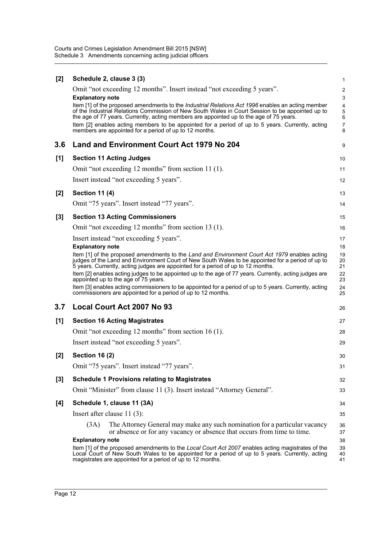| [2]   | Schedule 2, clause 3 (3)                                                                                                                                                                                                                                                               | 1                   |
|-------|----------------------------------------------------------------------------------------------------------------------------------------------------------------------------------------------------------------------------------------------------------------------------------------|---------------------|
|       | Omit "not exceeding 12 months". Insert instead "not exceeding 5 years".                                                                                                                                                                                                                | $\overline{c}$      |
|       | <b>Explanatory note</b><br>Item [1] of the proposed amendments to the <i>Industrial Relations Act 1996</i> enables an acting member                                                                                                                                                    | 3<br>$\overline{4}$ |
|       | of the Industrial Relations Commission of New South Wales in Court Session to be appointed up to<br>the age of 77 years. Currently, acting members are appointed up to the age of 75 years.                                                                                            | 5<br>6              |
|       | Item [2] enables acting members to be appointed for a period of up to 5 years. Currently, acting<br>members are appointed for a period of up to 12 months.                                                                                                                             | $\overline{7}$<br>8 |
| 3.6   | Land and Environment Court Act 1979 No 204                                                                                                                                                                                                                                             | 9                   |
| [1]   | <b>Section 11 Acting Judges</b>                                                                                                                                                                                                                                                        | 10                  |
|       | Omit "not exceeding 12 months" from section 11 (1).                                                                                                                                                                                                                                    | 11                  |
|       | Insert instead "not exceeding 5 years".                                                                                                                                                                                                                                                | 12                  |
| [2]   | <b>Section 11 (4)</b>                                                                                                                                                                                                                                                                  | 13                  |
|       | Omit "75 years". Insert instead "77 years".                                                                                                                                                                                                                                            | 14                  |
| $[3]$ | <b>Section 13 Acting Commissioners</b>                                                                                                                                                                                                                                                 | 15                  |
|       | Omit "not exceeding 12 months" from section 13 (1).                                                                                                                                                                                                                                    | 16                  |
|       | Insert instead "not exceeding 5 years".                                                                                                                                                                                                                                                | 17                  |
|       | <b>Explanatory note</b>                                                                                                                                                                                                                                                                | 18                  |
|       | Item [1] of the proposed amendments to the Land and Environment Court Act 1979 enables acting<br>judges of the Land and Environment Court of New South Wales to be appointed for a period of up to<br>5 years. Currently, acting judges are appointed for a period of up to 12 months. | 19<br>20<br>21      |
|       | Item [2] enables acting judges to be appointed up to the age of 77 years. Currently, acting judges are<br>appointed up to the age of 75 years.                                                                                                                                         | 22<br>23            |
|       | Item [3] enables acting commissioners to be appointed for a period of up to 5 years. Currently, acting<br>commissioners are appointed for a period of up to 12 months.                                                                                                                 | 24<br>25            |
| 3.7   | <b>Local Court Act 2007 No 93</b>                                                                                                                                                                                                                                                      | 26                  |
| [1]   | <b>Section 16 Acting Magistrates</b>                                                                                                                                                                                                                                                   | 27                  |
|       | Omit "not exceeding 12 months" from section 16 (1).                                                                                                                                                                                                                                    | 28                  |
|       | Insert instead "not exceeding 5 years".                                                                                                                                                                                                                                                | 29                  |
| [2]   | <b>Section 16 (2)</b>                                                                                                                                                                                                                                                                  | 30                  |
|       | Omit "75 years". Insert instead "77 years".                                                                                                                                                                                                                                            | 31                  |
| [3]   | <b>Schedule 1 Provisions relating to Magistrates</b>                                                                                                                                                                                                                                   | 32                  |
|       | Omit "Minister" from clause 11 (3). Insert instead "Attorney General".                                                                                                                                                                                                                 | 33                  |
| [4]   | Schedule 1, clause 11 (3A)                                                                                                                                                                                                                                                             | 34                  |
|       | Insert after clause $11(3)$ :                                                                                                                                                                                                                                                          | 35                  |
|       | The Attorney General may make any such nomination for a particular vacancy<br>(3A)<br>or absence or for any vacancy or absence that occurs from time to time.                                                                                                                          | 36<br>37            |
|       | <b>Explanatory note</b>                                                                                                                                                                                                                                                                | 38                  |
|       | Item [1] of the proposed amendments to the Local Court Act 2007 enables acting magistrates of the<br>Local Court of New South Wales to be appointed for a period of up to 5 years. Currently, acting<br>magistrates are appointed for a period of up to 12 months.                     | 39<br>40<br>41      |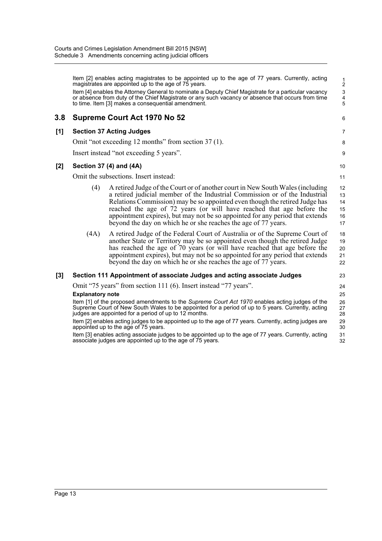Item [2] enables acting magistrates to be appointed up to the age of 77 years. Currently, acting magistrates are appointed up to the age of 75 years. Item [4] enables the Attorney General to nominate a Deputy Chief Magistrate for a particular vacancy or absence from duty of the Chief Magistrate or any such vacancy or absence that occurs from time to time. Item [3] makes a consequential amendment. **3.8 Supreme Court Act 1970 No 52 [1] Section 37 Acting Judges** Omit "not exceeding 12 months" from section 37 (1). Insert instead "not exceeding 5 years". **[2] Section 37 (4) and (4A)** Omit the subsections. Insert instead: (4) A retired Judge of the Court or of another court in New South Wales (including a retired judicial member of the Industrial Commission or of the Industrial Relations Commission) may be so appointed even though the retired Judge has reached the age of 72 years (or will have reached that age before the appointment expires), but may not be so appointed for any period that extends beyond the day on which he or she reaches the age of 77 years. (4A) A retired Judge of the Federal Court of Australia or of the Supreme Court of another State or Territory may be so appointed even though the retired Judge has reached the age of 70 years (or will have reached that age before the appointment expires), but may not be so appointed for any period that extends beyond the day on which he or she reaches the age of 77 years. **[3] Section 111 Appointment of associate Judges and acting associate Judges** Omit "75 years" from section 111 (6). Insert instead "77 years". **Explanatory note** Item [1] of the proposed amendments to the *Supreme Court Act 1970* enables acting judges of the Supreme Court of New South Wales to be appointed for a period of up to 5 years. Currently, acting judges are appointed for a period of up to 12 months. Item [2] enables acting judges to be appointed up to the age of 77 years. Currently, acting judges are appointed up to the age of 75 years. Item [3] enables acting associate judges to be appointed up to the age of 77 years. Currently, acting associate judges are appointed up to the age of 75 years. 1 2 3 4 5 6 7 8 q 10 11 12 13 14 15 16 17 18 19 20 21 22 23 24 25 26 27 28 29 30 31 32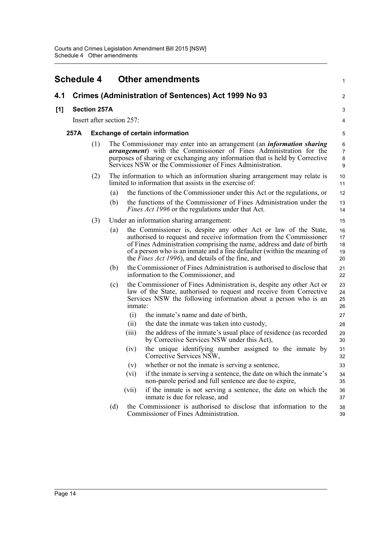<span id="page-17-0"></span>

|     | <b>Schedule 4</b> |                           |                                        | <b>Other amendments</b>                                                                                                                                                                                                                                                                                                                           | 1                             |  |
|-----|-------------------|---------------------------|----------------------------------------|---------------------------------------------------------------------------------------------------------------------------------------------------------------------------------------------------------------------------------------------------------------------------------------------------------------------------------------------------|-------------------------------|--|
| 4.1 |                   |                           |                                        | Crimes (Administration of Sentences) Act 1999 No 93                                                                                                                                                                                                                                                                                               | 2                             |  |
| [1] |                   | <b>Section 257A</b>       |                                        |                                                                                                                                                                                                                                                                                                                                                   | 3                             |  |
|     |                   | Insert after section 257: |                                        |                                                                                                                                                                                                                                                                                                                                                   | 4                             |  |
|     | 257A              |                           | <b>Exchange of certain information</b> |                                                                                                                                                                                                                                                                                                                                                   |                               |  |
|     |                   | (1)                       |                                        | The Commissioner may enter into an arrangement (an <i>information sharing</i><br><b>arrangement</b> ) with the Commissioner of Fines Administration for the<br>purposes of sharing or exchanging any information that is held by Corrective<br>Services NSW or the Commissioner of Fines Administration.                                          | 6<br>$\overline{7}$<br>8<br>9 |  |
|     |                   | (2)                       |                                        | The information to which an information sharing arrangement may relate is<br>limited to information that assists in the exercise of:                                                                                                                                                                                                              | 10<br>11                      |  |
|     |                   |                           | (a)                                    | the functions of the Commissioner under this Act or the regulations, or                                                                                                                                                                                                                                                                           | 12                            |  |
|     |                   |                           | (b)                                    | the functions of the Commissioner of Fines Administration under the<br><i>Fines Act 1996</i> or the regulations under that Act.                                                                                                                                                                                                                   | 13<br>14                      |  |
|     |                   | (3)                       |                                        | Under an information sharing arrangement:                                                                                                                                                                                                                                                                                                         | 15                            |  |
|     |                   |                           | (a)                                    | the Commissioner is, despite any other Act or law of the State,<br>authorised to request and receive information from the Commissioner<br>of Fines Administration comprising the name, address and date of birth<br>of a person who is an inmate and a fine defaulter (within the meaning of<br>the Fines Act 1996), and details of the fine, and | 16<br>17<br>18<br>19<br>20    |  |
|     |                   |                           | (b)                                    | the Commissioner of Fines Administration is authorised to disclose that<br>information to the Commissioner, and                                                                                                                                                                                                                                   | 21<br>22                      |  |
|     |                   |                           | (c)                                    | the Commissioner of Fines Administration is, despite any other Act or<br>law of the State, authorised to request and receive from Corrective<br>Services NSW the following information about a person who is an<br>inmate:                                                                                                                        | 23<br>24<br>25<br>26          |  |
|     |                   |                           |                                        | (i)<br>the inmate's name and date of birth,                                                                                                                                                                                                                                                                                                       | 27                            |  |
|     |                   |                           |                                        | (ii)<br>the date the inmate was taken into custody,                                                                                                                                                                                                                                                                                               | 28                            |  |
|     |                   |                           |                                        | the address of the inmate's usual place of residence (as recorded<br>(iii)<br>by Corrective Services NSW under this Act),                                                                                                                                                                                                                         | 29<br>30                      |  |
|     |                   |                           |                                        | the unique identifying number assigned to the inmate by<br>(iv)<br>Corrective Services NSW,                                                                                                                                                                                                                                                       | 31<br>32                      |  |
|     |                   |                           |                                        | (v)<br>whether or not the inmate is serving a sentence,                                                                                                                                                                                                                                                                                           | 33                            |  |
|     |                   |                           |                                        | if the inmate is serving a sentence, the date on which the inmate's<br>(vi)<br>non-parole period and full sentence are due to expire,                                                                                                                                                                                                             | 34<br>35                      |  |
|     |                   |                           |                                        | if the inmate is not serving a sentence, the date on which the<br>(vii)<br>inmate is due for release, and                                                                                                                                                                                                                                         | 36<br>37                      |  |
|     |                   |                           | (d)                                    | the Commissioner is authorised to disclose that information to the<br>Commissioner of Fines Administration.                                                                                                                                                                                                                                       | 38<br>39                      |  |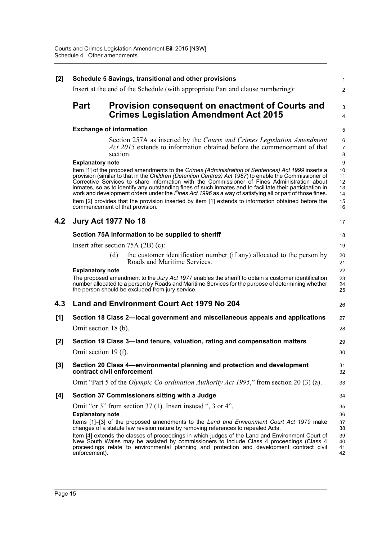| [2]   |                                               | Schedule 5 Savings, transitional and other provisions                                                                                                                                                                                                                                                                                                                                                                                                                                                                                                                                                                                                                           | 1                                      |  |  |  |  |
|-------|-----------------------------------------------|---------------------------------------------------------------------------------------------------------------------------------------------------------------------------------------------------------------------------------------------------------------------------------------------------------------------------------------------------------------------------------------------------------------------------------------------------------------------------------------------------------------------------------------------------------------------------------------------------------------------------------------------------------------------------------|----------------------------------------|--|--|--|--|
|       |                                               | Insert at the end of the Schedule (with appropriate Part and clause numbering):                                                                                                                                                                                                                                                                                                                                                                                                                                                                                                                                                                                                 | $\overline{2}$                         |  |  |  |  |
|       | <b>Part</b>                                   | Provision consequent on enactment of Courts and                                                                                                                                                                                                                                                                                                                                                                                                                                                                                                                                                                                                                                 | 3                                      |  |  |  |  |
|       |                                               | <b>Crimes Legislation Amendment Act 2015</b>                                                                                                                                                                                                                                                                                                                                                                                                                                                                                                                                                                                                                                    | $\overline{4}$                         |  |  |  |  |
|       |                                               | <b>Exchange of information</b>                                                                                                                                                                                                                                                                                                                                                                                                                                                                                                                                                                                                                                                  | 5                                      |  |  |  |  |
|       |                                               | Section 257A as inserted by the Courts and Crimes Legislation Amendment<br><i>Act 2015</i> extends to information obtained before the commencement of that<br>section.                                                                                                                                                                                                                                                                                                                                                                                                                                                                                                          | 6<br>$\overline{7}$<br>8               |  |  |  |  |
|       | <b>Explanatory note</b>                       |                                                                                                                                                                                                                                                                                                                                                                                                                                                                                                                                                                                                                                                                                 | 9                                      |  |  |  |  |
|       |                                               | Item [1] of the proposed amendments to the Crimes (Administration of Sentences) Act 1999 inserts a<br>provision (similar to that in the Children (Detention Centres) Act 1987) to enable the Commissioner of<br>Corrective Services to share information with the Commissioner of Fines Administration about<br>inmates, so as to identify any outstanding fines of such inmates and to facilitate their participation in<br>work and development orders under the Fines Act 1996 as a way of satisfying all or part of those fines.<br>Item [2] provides that the provision inserted by item [1] extends to information obtained before the<br>commencement of that provision. | 10<br>11<br>12<br>13<br>14<br>15<br>16 |  |  |  |  |
| 4.2   |                                               | <b>Jury Act 1977 No 18</b>                                                                                                                                                                                                                                                                                                                                                                                                                                                                                                                                                                                                                                                      | 17                                     |  |  |  |  |
|       |                                               | Section 75A Information to be supplied to sheriff                                                                                                                                                                                                                                                                                                                                                                                                                                                                                                                                                                                                                               | 18                                     |  |  |  |  |
|       |                                               | Insert after section $75A(2B)(c)$ :                                                                                                                                                                                                                                                                                                                                                                                                                                                                                                                                                                                                                                             | 19                                     |  |  |  |  |
|       |                                               | the customer identification number (if any) allocated to the person by<br>(d)<br>Roads and Maritime Services.                                                                                                                                                                                                                                                                                                                                                                                                                                                                                                                                                                   | 20<br>21                               |  |  |  |  |
|       | <b>Explanatory note</b>                       | The proposed amendment to the Jury Act 1977 enables the sheriff to obtain a customer identification<br>number allocated to a person by Roads and Maritime Services for the purpose of determining whether<br>the person should be excluded from jury service.                                                                                                                                                                                                                                                                                                                                                                                                                   | 22<br>23<br>24<br>25                   |  |  |  |  |
| 4.3   |                                               | <b>Land and Environment Court Act 1979 No 204</b>                                                                                                                                                                                                                                                                                                                                                                                                                                                                                                                                                                                                                               | 26                                     |  |  |  |  |
| [1]   |                                               | Section 18 Class 2-local government and miscellaneous appeals and applications                                                                                                                                                                                                                                                                                                                                                                                                                                                                                                                                                                                                  | 27                                     |  |  |  |  |
|       | Omit section 18 (b).                          |                                                                                                                                                                                                                                                                                                                                                                                                                                                                                                                                                                                                                                                                                 | 28                                     |  |  |  |  |
| [2]   |                                               | Section 19 Class 3—land tenure, valuation, rating and compensation matters                                                                                                                                                                                                                                                                                                                                                                                                                                                                                                                                                                                                      | 29                                     |  |  |  |  |
|       | Omit section 19 (f).                          |                                                                                                                                                                                                                                                                                                                                                                                                                                                                                                                                                                                                                                                                                 | 30                                     |  |  |  |  |
| $[3]$ |                                               | Section 20 Class 4—environmental planning and protection and development<br>contract civil enforcement                                                                                                                                                                                                                                                                                                                                                                                                                                                                                                                                                                          | 31<br>32                               |  |  |  |  |
|       |                                               | Omit "Part 5 of the <i>Olympic Co-ordination Authority Act 1995</i> ," from section 20 (3) (a).                                                                                                                                                                                                                                                                                                                                                                                                                                                                                                                                                                                 | 33                                     |  |  |  |  |
| [4]   | Section 37 Commissioners sitting with a Judge |                                                                                                                                                                                                                                                                                                                                                                                                                                                                                                                                                                                                                                                                                 |                                        |  |  |  |  |
|       |                                               | Omit "or 3" from section 37 (1). Insert instead ", 3 or 4".                                                                                                                                                                                                                                                                                                                                                                                                                                                                                                                                                                                                                     | 35                                     |  |  |  |  |
|       | <b>Explanatory note</b>                       |                                                                                                                                                                                                                                                                                                                                                                                                                                                                                                                                                                                                                                                                                 | 36                                     |  |  |  |  |
|       |                                               | Items [1]–[3] of the proposed amendments to the Land and Environment Court Act 1979 make<br>changes of a statute law revision nature by removing references to repealed Acts.                                                                                                                                                                                                                                                                                                                                                                                                                                                                                                   | 37<br>38                               |  |  |  |  |
|       | enforcement).                                 | Item [4] extends the classes of proceedings in which judges of the Land and Environment Court of<br>New South Wales may be assisted by commissioners to include Class 4 proceedings (Class 4<br>proceedings relate to environmental planning and protection and development contract civil                                                                                                                                                                                                                                                                                                                                                                                      | 39<br>40<br>41<br>42                   |  |  |  |  |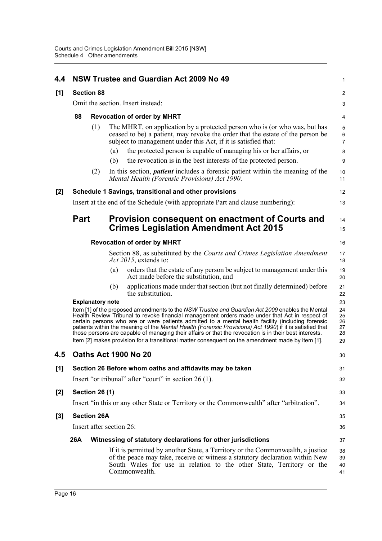| 4.4   |                                                                                                                                                                                                                                                                                                                                                                                                                                                                                                                              |                         | NSW Trustee and Guardian Act 2009 No 49                                                                                                                                                                                                                  | $\mathbf{1}$         |  |
|-------|------------------------------------------------------------------------------------------------------------------------------------------------------------------------------------------------------------------------------------------------------------------------------------------------------------------------------------------------------------------------------------------------------------------------------------------------------------------------------------------------------------------------------|-------------------------|----------------------------------------------------------------------------------------------------------------------------------------------------------------------------------------------------------------------------------------------------------|----------------------|--|
| [1]   |                                                                                                                                                                                                                                                                                                                                                                                                                                                                                                                              | <b>Section 88</b>       |                                                                                                                                                                                                                                                          | $\overline{c}$       |  |
|       | Omit the section. Insert instead:                                                                                                                                                                                                                                                                                                                                                                                                                                                                                            |                         |                                                                                                                                                                                                                                                          |                      |  |
|       | 88                                                                                                                                                                                                                                                                                                                                                                                                                                                                                                                           |                         | <b>Revocation of order by MHRT</b>                                                                                                                                                                                                                       |                      |  |
|       |                                                                                                                                                                                                                                                                                                                                                                                                                                                                                                                              | (1)                     | The MHRT, on application by a protected person who is (or who was, but has<br>ceased to be) a patient, may revoke the order that the estate of the person be<br>subject to management under this Act, if it is satisfied that:                           |                      |  |
|       |                                                                                                                                                                                                                                                                                                                                                                                                                                                                                                                              |                         | the protected person is capable of managing his or her affairs, or<br>(a)<br>the revocation is in the best interests of the protected person.<br>(b)                                                                                                     | 8<br>9               |  |
|       |                                                                                                                                                                                                                                                                                                                                                                                                                                                                                                                              | (2)                     | In this section, <i>patient</i> includes a forensic patient within the meaning of the<br>Mental Health (Forensic Provisions) Act 1990.                                                                                                                   | 10<br>11             |  |
| [2]   |                                                                                                                                                                                                                                                                                                                                                                                                                                                                                                                              |                         | Schedule 1 Savings, transitional and other provisions                                                                                                                                                                                                    | 12                   |  |
|       |                                                                                                                                                                                                                                                                                                                                                                                                                                                                                                                              |                         | Insert at the end of the Schedule (with appropriate Part and clause numbering):                                                                                                                                                                          | 13                   |  |
|       | <b>Part</b>                                                                                                                                                                                                                                                                                                                                                                                                                                                                                                                  |                         | Provision consequent on enactment of Courts and                                                                                                                                                                                                          | 14                   |  |
|       |                                                                                                                                                                                                                                                                                                                                                                                                                                                                                                                              |                         | <b>Crimes Legislation Amendment Act 2015</b>                                                                                                                                                                                                             | 15                   |  |
|       |                                                                                                                                                                                                                                                                                                                                                                                                                                                                                                                              |                         | <b>Revocation of order by MHRT</b>                                                                                                                                                                                                                       | 16                   |  |
|       |                                                                                                                                                                                                                                                                                                                                                                                                                                                                                                                              |                         | Section 88, as substituted by the Courts and Crimes Legislation Amendment<br>Act 2015, extends to:                                                                                                                                                       | 17<br>18             |  |
|       |                                                                                                                                                                                                                                                                                                                                                                                                                                                                                                                              |                         | orders that the estate of any person be subject to management under this<br>(a)<br>Act made before the substitution, and                                                                                                                                 | 19<br>20             |  |
|       |                                                                                                                                                                                                                                                                                                                                                                                                                                                                                                                              |                         | applications made under that section (but not finally determined) before<br>(b)<br>the substitution.                                                                                                                                                     | 21<br>22             |  |
|       |                                                                                                                                                                                                                                                                                                                                                                                                                                                                                                                              | <b>Explanatory note</b> |                                                                                                                                                                                                                                                          | 23<br>24             |  |
|       | Item [1] of the proposed amendments to the NSW Trustee and Guardian Act 2009 enables the Mental<br>Health Review Tribunal to revoke financial management orders made under that Act in respect of<br>certain persons who are or were patients admitted to a mental health facility (including forensic<br>patients within the meaning of the Mental Health (Forensic Provisions) Act 1990) if it is satisfied that<br>those persons are capable of managing their affairs or that the revocation is in their best interests. |                         |                                                                                                                                                                                                                                                          |                      |  |
|       |                                                                                                                                                                                                                                                                                                                                                                                                                                                                                                                              |                         | Item [2] makes provision for a transitional matter consequent on the amendment made by item [1].                                                                                                                                                         | 29                   |  |
| 4.5   |                                                                                                                                                                                                                                                                                                                                                                                                                                                                                                                              |                         | Oaths Act 1900 No 20                                                                                                                                                                                                                                     | 30                   |  |
| [1]   |                                                                                                                                                                                                                                                                                                                                                                                                                                                                                                                              |                         | Section 26 Before whom oaths and affidavits may be taken                                                                                                                                                                                                 | 31                   |  |
|       |                                                                                                                                                                                                                                                                                                                                                                                                                                                                                                                              |                         | Insert "or tribunal" after "court" in section 26 (1).                                                                                                                                                                                                    | 32                   |  |
| [2]   |                                                                                                                                                                                                                                                                                                                                                                                                                                                                                                                              | <b>Section 26 (1)</b>   |                                                                                                                                                                                                                                                          | 33                   |  |
|       |                                                                                                                                                                                                                                                                                                                                                                                                                                                                                                                              |                         | Insert "in this or any other State or Territory or the Commonwealth" after "arbitration".                                                                                                                                                                | 34                   |  |
| $[3]$ |                                                                                                                                                                                                                                                                                                                                                                                                                                                                                                                              | <b>Section 26A</b>      |                                                                                                                                                                                                                                                          | 35                   |  |
|       |                                                                                                                                                                                                                                                                                                                                                                                                                                                                                                                              |                         | Insert after section 26:                                                                                                                                                                                                                                 | 36                   |  |
|       | 26A                                                                                                                                                                                                                                                                                                                                                                                                                                                                                                                          |                         | Witnessing of statutory declarations for other jurisdictions                                                                                                                                                                                             | 37                   |  |
|       |                                                                                                                                                                                                                                                                                                                                                                                                                                                                                                                              |                         | If it is permitted by another State, a Territory or the Commonwealth, a justice<br>of the peace may take, receive or witness a statutory declaration within New<br>South Wales for use in relation to the other State, Territory or the<br>Commonwealth. | 38<br>39<br>40<br>41 |  |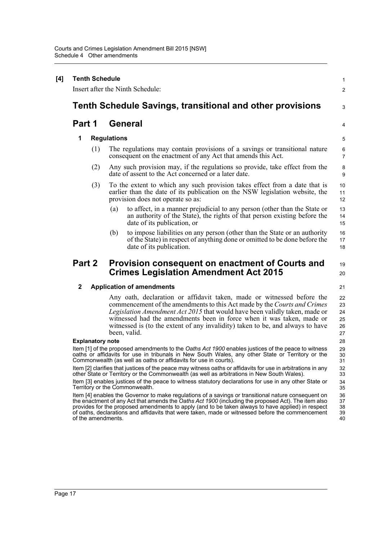| <b>Tenth Schedule</b><br>Insert after the Ninth Schedule:                                                                                |                                                                                                                                                                                                                                                                                                                                                                                                                     |  |  |  |  |
|------------------------------------------------------------------------------------------------------------------------------------------|---------------------------------------------------------------------------------------------------------------------------------------------------------------------------------------------------------------------------------------------------------------------------------------------------------------------------------------------------------------------------------------------------------------------|--|--|--|--|
| <b>Tenth Schedule Savings, transitional and other provisions</b>                                                                         |                                                                                                                                                                                                                                                                                                                                                                                                                     |  |  |  |  |
|                                                                                                                                          |                                                                                                                                                                                                                                                                                                                                                                                                                     |  |  |  |  |
| Part 1                                                                                                                                   | <b>General</b>                                                                                                                                                                                                                                                                                                                                                                                                      |  |  |  |  |
| 1                                                                                                                                        | <b>Regulations</b>                                                                                                                                                                                                                                                                                                                                                                                                  |  |  |  |  |
| (1)                                                                                                                                      | The regulations may contain provisions of a savings or transitional nature<br>consequent on the enactment of any Act that amends this Act.                                                                                                                                                                                                                                                                          |  |  |  |  |
| (2)                                                                                                                                      | Any such provision may, if the regulations so provide, take effect from the<br>date of assent to the Act concerned or a later date.                                                                                                                                                                                                                                                                                 |  |  |  |  |
| (3)                                                                                                                                      | To the extent to which any such provision takes effect from a date that is<br>earlier than the date of its publication on the NSW legislation website, the<br>provision does not operate so as:                                                                                                                                                                                                                     |  |  |  |  |
|                                                                                                                                          | (a)<br>to affect, in a manner prejudicial to any person (other than the State or<br>an authority of the State), the rights of that person existing before the<br>date of its publication, or                                                                                                                                                                                                                        |  |  |  |  |
|                                                                                                                                          | to impose liabilities on any person (other than the State or an authority<br>(b)<br>of the State) in respect of anything done or omitted to be done before the<br>date of its publication.                                                                                                                                                                                                                          |  |  |  |  |
| Part 2                                                                                                                                   | Provision consequent on enactment of Courts and<br><b>Crimes Legislation Amendment Act 2015</b>                                                                                                                                                                                                                                                                                                                     |  |  |  |  |
| $\mathbf{2}$                                                                                                                             | <b>Application of amendments</b>                                                                                                                                                                                                                                                                                                                                                                                    |  |  |  |  |
|                                                                                                                                          | Any oath, declaration or affidavit taken, made or witnessed before the<br>commencement of the amendments to this Act made by the Courts and Crimes<br>Legislation Amendment Act 2015 that would have been validly taken, made or<br>witnessed had the amendments been in force when it was taken, made or<br>witnessed is (to the extent of any invalidity) taken to be, and always to have<br>been, valid.         |  |  |  |  |
| <b>Explanatory note</b>                                                                                                                  |                                                                                                                                                                                                                                                                                                                                                                                                                     |  |  |  |  |
|                                                                                                                                          | Item [1] of the proposed amendments to the Oaths Act 1900 enables justices of the peace to witness<br>oaths or affidavits for use in tribunals in New South Wales, any other State or Territory or the<br>Commonwealth (as well as oaths or affidavits for use in courts).                                                                                                                                          |  |  |  |  |
|                                                                                                                                          | Item [2] clarifies that justices of the peace may witness oaths or affidavits for use in arbitrations in any<br>other State or Territory or the Commonwealth (as well as arbitrations in New South Wales).                                                                                                                                                                                                          |  |  |  |  |
| Item [3] enables justices of the peace to witness statutory declarations for use in any other State or<br>Territory or the Commonwealth. |                                                                                                                                                                                                                                                                                                                                                                                                                     |  |  |  |  |
| of the amendments.                                                                                                                       | Item [4] enables the Governor to make regulations of a savings or transitional nature consequent on<br>the enactment of any Act that amends the Oaths Act 1900 (including the proposed Act). The item also<br>provides for the proposed amendments to apply (and to be taken always to have applied) in respect<br>of oaths, declarations and affidavits that were taken, made or witnessed before the commencement |  |  |  |  |